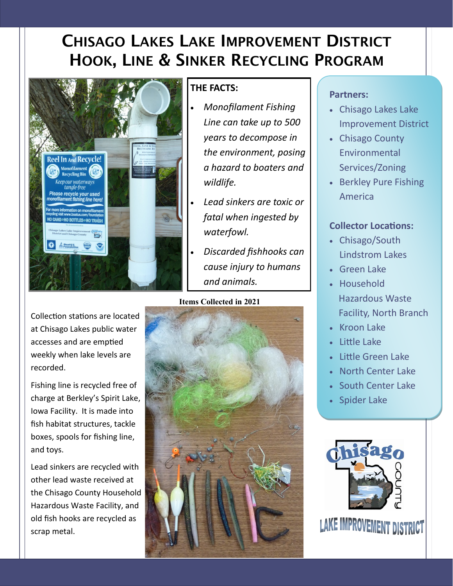# CHISAGO LAKES LAKE IMPROVEMENT DISTRICT HOOK, LINE & SINKER RECYCLING PROGRAM



### **THE FACTS:**

- *Monofilament Fishing Line can take up to 500 years to decompose in the environment, posing a hazard to boaters and wildlife.*
- *Lead sinkers are toxic or fatal when ingested by waterfowl.*
- *Discarded fishhooks can cause injury to humans and animals.*

#### **Items Collected in 2021**



#### **Partners:**

- Chisago Lakes Lake Improvement District
- Chisago County Environmental Services/Zoning
- Berkley Pure Fishing America

#### **Collector Locations:**

- Chisago/South Lindstrom Lakes
- Green Lake
- Household Hazardous Waste Facility, North Branch
- Kroon Lake
- Little Lake
- Little Green Lake
- North Center Lake
- South Center Lake
- Spider Lake



Collection stations are located at Chisago Lakes public water accesses and are emptied weekly when lake levels are recorded.

Fishing line is recycled free of charge at Berkley's Spirit Lake, Iowa Facility. It is made into fish habitat structures, tackle boxes, spools for fishing line, and toys.

Lead sinkers are recycled with other lead waste received at the Chisago County Household Hazardous Waste Facility, and old fish hooks are recycled as scrap metal.